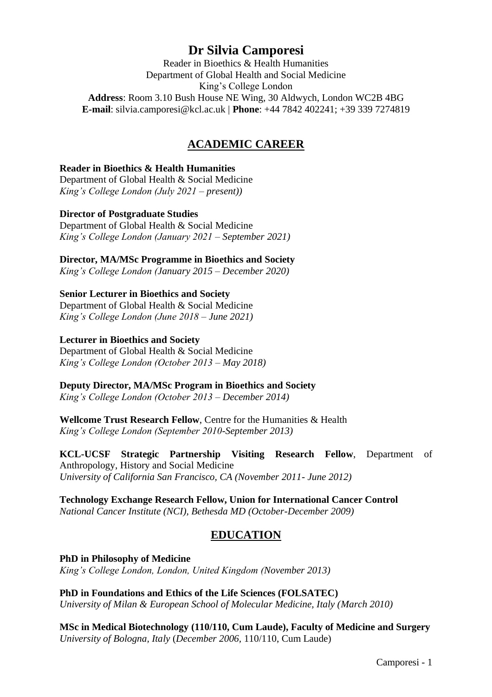# **Dr Silvia Camporesi**

Reader in Bioethics & Health Humanities Department of Global Health and Social Medicine King's College London **Address**: Room 3.10 Bush House NE Wing, 30 Aldwych, London WC2B 4BG **E-mail**: silvia.camporesi@kcl.ac.uk | **Phone**: +44 7842 402241; +39 339 7274819

# **ACADEMIC CAREER**

### **Reader in Bioethics & Health Humanities**

Department of Global Health & Social Medicine *King's College London (July 2021 – present))* 

### **Director of Postgraduate Studies**

Department of Global Health & Social Medicine *King's College London (January 2021 – September 2021)* 

**Director, MA/MSc Programme in Bioethics and Society**

*King's College London (January 2015 – December 2020)*

# **Senior Lecturer in Bioethics and Society**

Department of Global Health & Social Medicine *King's College London (June 2018 – June 2021)* 

#### **Lecturer in Bioethics and Society**

Department of Global Health & Social Medicine *King's College London (October 2013 – May 2018)* 

#### **Deputy Director, MA/MSc Program in Bioethics and Society**

*King's College London (October 2013 – December 2014)*

**Wellcome Trust Research Fellow**, Centre for the Humanities & Health *King's College London (September 2010-September 2013)*

**KCL-UCSF Strategic Partnership Visiting Research Fellow**, Department of Anthropology, History and Social Medicine *University of California San Francisco, CA (November 2011- June 2012)*

#### **Technology Exchange Research Fellow, Union for International Cancer Control**  *National Cancer Institute (NCI), Bethesda MD (October-December 2009)*

# **EDUCATION**

**PhD in Philosophy of Medicine** *King's College London, London, United Kingdom (November 2013)*

**PhD in Foundations and Ethics of the Life Sciences (FOLSATEC)** *University of Milan & European School of Molecular Medicine, Italy (March 2010)* 

**MSc in Medical Biotechnology (110/110, Cum Laude), Faculty of Medicine and Surgery** *University of Bologna, Italy* (*December 2006,* 110/110, Cum Laude)

Camporesi - 1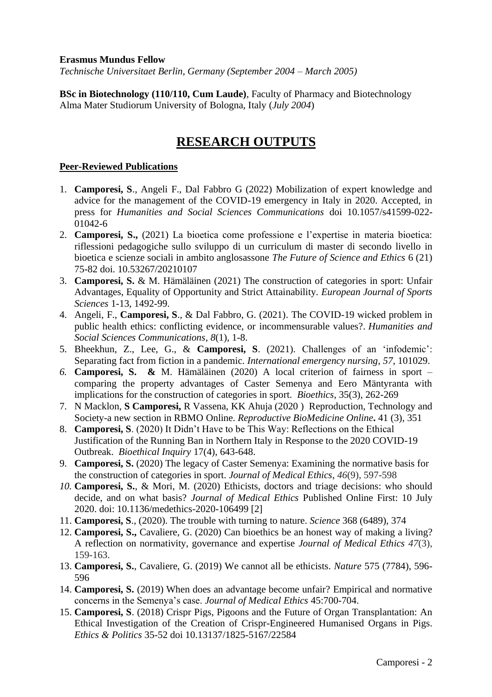#### **Erasmus Mundus Fellow**

*Technische Universitaet Berlin, Germany (September 2004 – March 2005)*

**BSc in Biotechnology (110/110, Cum Laude)**, Faculty of Pharmacy and Biotechnology Alma Mater Studiorum University of Bologna, Italy (*July 2004*)

# **RESEARCH OUTPUTS**

## **Peer-Reviewed Publications**

- 1. **Camporesi, S**., Angeli F., Dal Fabbro G (2022) Mobilization of expert knowledge and advice for the management of the COVID-19 emergency in Italy in 2020. Accepted, in press for *Humanities and Social Sciences Communications* doi 10.1057/s41599-022- 01042-6
- 2. **Camporesi, S.,** (2021) [La bioetica come professione e l'expertise in materia bioetica:](http://scienceandethics.fondazioneveronesi.it/wp-content/uploads/2022/01/Rivista-FUV-2021_Camporesi.pdf)  [riflessioni pedagogiche sullo sviluppo di un curriculum di master di secondo livello in](http://scienceandethics.fondazioneveronesi.it/wp-content/uploads/2022/01/Rivista-FUV-2021_Camporesi.pdf)  [bioetica e scienze sociali in ambito anglosassone](http://scienceandethics.fondazioneveronesi.it/wp-content/uploads/2022/01/Rivista-FUV-2021_Camporesi.pdf) *The Future of Science and Ethics* 6 (21) 75-82 doi. 10.53267/20210107
- 3. **Camporesi, S.** & M. Hämäläinen (2021) The construction of categories in sport: Unfair Advantages, Equality of Opportunity and Strict Attainability. *European Journal of Sports Sciences* 1-13, 1492-99.
- 4. Angeli, F., **Camporesi, S**., & Dal Fabbro, G. (2021). The COVID-19 wicked problem in public health ethics: conflicting evidence, or incommensurable values?. *Humanities and Social Sciences Communications*, *8*(1), 1-8.
- 5. Bheekhun, Z., Lee, G., & **Camporesi, S**. (2021). Challenges of an 'infodemic': Separating fact from fiction in a pandemic. *International emergency nursing*, *57*, 101029.
- *6.* **Camporesi, S. &** M. Hämäläinen (2020) A local criterion of fairness in sport comparing the property advantages of Caster Semenya and Eero Mäntyranta with implications for the construction of categories in sport. *Bioethics*, 35(3), 262-269
- 7. N Macklon, **S Camporesi,** R Vassena, KK Ahuja (2020 ) [Reproduction, Technology and](javascript:void(0))  [Society-a new section in RBMO](javascript:void(0)) Online. *Reproductive BioMedicine Online***.** 41 (3), 351
- 8. **Camporesi, S**. (2020) It Didn't Have to be This Way: Reflections on the Ethical Justification of the Running Ban in Northern Italy in Response to the 2020 COVID-19 Outbreak. *Bioethical Inquiry* 17(4), 643-648.
- 9. **Camporesi, S.** (2020) The legacy of Caster Semenya: Examining the normative basis for the construction of categories in sport. *Journal of Medical Ethics*, *46*(9), 597-598
- *10.* **Camporesi, S.**, & Mori, M. (2020) Ethicists, doctors and triage decisions: who should decide, and on what basis? *Journal of Medical Ethics* Published Online First: 10 July 2020. doi: 10.1136/medethics-2020-106499 [2]
- 11. **Camporesi, S**., (2020). The trouble with turning to nature. *Science* 368 (6489), 374
- 12. **Camporesi, S.,** Cavaliere, G. (2020) Can bioethics be an honest way of making a living? A reflection on normativity, governance and expertise *Journal of Medical Ethics 47*(3), 159-163.
- 13. **Camporesi, S.**, Cavaliere, G. (2019) We cannot all be ethicists. *Nature* 575 (7784), 596- 596
- 14. **Camporesi, S.** (2019) When does an advantage become unfair? Empirical and normative concerns in the Semenya's case. *Journal of Medical Ethics* 45:700-704.
- 15. **Camporesi, S**. (2018) Crispr Pigs, Pigoons and the Future of Organ Transplantation: An Ethical Investigation of the Creation of Crispr-Engineered Humanised Organs in Pigs. *Ethics & Politics* 35-52 doi [10.13137/1825-5167/22584](https://doi.org/10.13137/1825-5167/22584)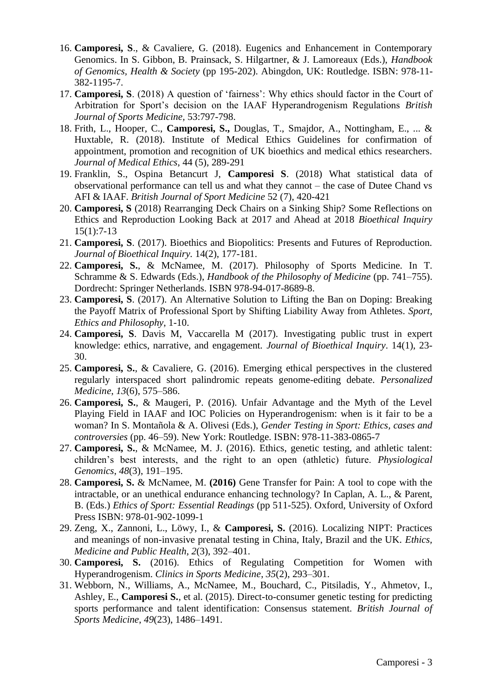- 16. **Camporesi, S**., & Cavaliere, G. (2018). Eugenics and Enhancement in Contemporary Genomics. In S. Gibbon, B. Prainsack, S. Hilgartner, & J. Lamoreaux (Eds.), *Handbook of Genomics, Health & Society* (pp 195-202). Abingdon, UK: Routledge. ISBN: 978-11- 382-1195-7.
- 17. **Camporesi, S**. (2018) A question of 'fairness': Why ethics should factor in the Court of Arbitration for Sport's decision on the IAAF Hyperandrogenism Regulations *British Journal of Sports Medicine,* 53:797-798.
- 18. Frith, L., Hooper, C., **Camporesi, S.,** Douglas, T., Smajdor, A., Nottingham, E., ... & Huxtable, R. (2018). Institute of Medical Ethics Guidelines for confirmation of appointment, promotion and recognition of UK bioethics and medical ethics researchers. *Journal of Medical Ethics*, 44 (5), 289-291
- 19. Franklin, S., Ospina Betancurt J, **Camporesi S**. (2018) What statistical data of observational performance can tell us and what they cannot – the case of Dutee Chand vs AFI & IAAF. *British Journal of Sport Medicine* 52 (7), 420-421
- 20. **Camporesi, S** (2018) Rearranging Deck Chairs on a Sinking Ship? Some Reflections on Ethics and Reproduction Looking Back at 2017 and Ahead at 2018 *Bioethical Inquiry* 15(1):7-13
- 21. **Camporesi, S**. (2017). Bioethics and Biopolitics: Presents and Futures of Reproduction. *Journal of Bioethical Inquiry.* 14(2), 177-181.
- 22. **Camporesi, S.**, & McNamee, M. (2017). Philosophy of Sports Medicine. In T. Schramme & S. Edwards (Eds.), *Handbook of the Philosophy of Medicine* (pp. 741–755). Dordrecht: Springer Netherlands. ISBN 978-94-017-8689-8.
- 23. **Camporesi, S**. (2017). An Alternative Solution to Lifting the Ban on Doping: Breaking the Payoff Matrix of Professional Sport by Shifting Liability Away from Athletes. *Sport, Ethics and Philosophy*, 1-10.
- 24. **Camporesi, S**. Davis M, Vaccarella M (2017). Investigating public trust in expert knowledge: ethics, narrative, and engagement. *Journal of Bioethical Inquiry*. 14(1), 23- 30.
- 25. **Camporesi, S.**, & Cavaliere, G. (2016). Emerging ethical perspectives in the clustered regularly interspaced short palindromic repeats genome-editing debate. *Personalized Medicine*, *13*(6), 575–586.
- 26. **Camporesi, S.**, & Maugeri, P. (2016). Unfair Advantage and the Myth of the Level Playing Field in IAAF and IOC Policies on Hyperandrogenism: when is it fair to be a woman? In S. Montañola & A. Olivesi (Eds.), *Gender Testing in Sport: Ethics, cases and controversies* (pp. 46–59). New York: Routledge. ISBN: 978-11-383-0865-7
- 27. **Camporesi, S.**, & McNamee, M. J. (2016). Ethics, genetic testing, and athletic talent: children's best interests, and the right to an open (athletic) future. *Physiological Genomics*, *48*(3), 191–195.
- 28. **Camporesi, S.** & McNamee, M. **(2016)** Gene Transfer for Pain: A tool to cope with the intractable, or an unethical endurance enhancing technology? In Caplan, A. L., & Parent, B. (Eds.) *Ethics of Sport: Essential Readings* (pp 511-525). Oxford, University of Oxford Press ISBN: 978-01-902-1099-1
- 29. Zeng, X., Zannoni, L., Löwy, I., & **Camporesi, S.** (2016). Localizing NIPT: Practices and meanings of non-invasive prenatal testing in China, Italy, Brazil and the UK. *Ethics, Medicine and Public Health*, *2*(3), 392–401.
- 30. **Camporesi, S.** (2016). Ethics of Regulating Competition for Women with Hyperandrogenism. *Clinics in Sports Medicine*, *35*(2), 293–301.
- 31. Webborn, N., Williams, A., McNamee, M., Bouchard, C., Pitsiladis, Y., Ahmetov, I., Ashley, E., **Camporesi S.**, et al. (2015). Direct-to-consumer genetic testing for predicting sports performance and talent identification: Consensus statement. *British Journal of Sports Medicine*, *49*(23), 1486–1491.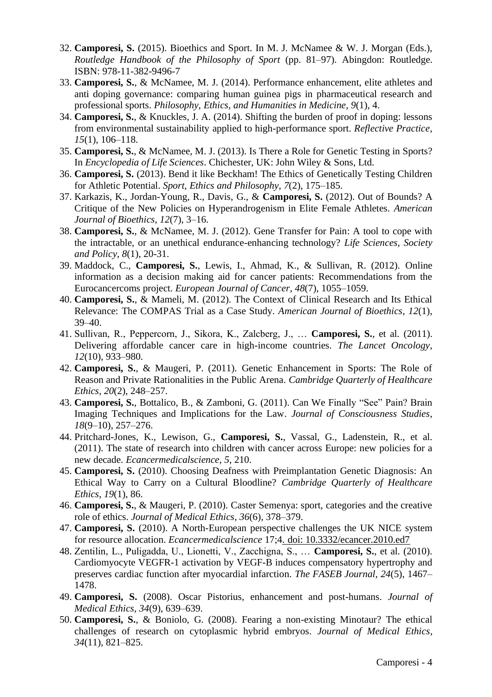- 32. **Camporesi, S.** (2015). Bioethics and Sport. In M. J. McNamee & W. J. Morgan (Eds.), *Routledge Handbook of the Philosophy of Sport* (pp. 81–97). Abingdon: Routledge. ISBN: 978-11-382-9496-7
- 33. **Camporesi, S.**, & McNamee, M. J. (2014). Performance enhancement, elite athletes and anti doping governance: comparing human guinea pigs in pharmaceutical research and professional sports. *Philosophy, Ethics, and Humanities in Medicine*, *9*(1), 4.
- 34. **Camporesi, S.**, & Knuckles, J. A. (2014). Shifting the burden of proof in doping: lessons from environmental sustainability applied to high-performance sport. *Reflective Practice*, *15*(1), 106–118.
- 35. **Camporesi, S.**, & McNamee, M. J. (2013). Is There a Role for Genetic Testing in Sports? In *Encyclopedia of Life Sciences*. Chichester, UK: John Wiley & Sons, Ltd.
- 36. **Camporesi, S.** (2013). Bend it like Beckham! The Ethics of Genetically Testing Children for Athletic Potential. *Sport, Ethics and Philosophy*, *7*(2), 175–185.
- 37. Karkazis, K., Jordan-Young, R., Davis, G., & **Camporesi, S.** (2012). Out of Bounds? A Critique of the New Policies on Hyperandrogenism in Elite Female Athletes. *American Journal of Bioethics*, *12*(7), 3–16.
- 38. **Camporesi, S.**, & McNamee, M. J. (2012). Gene Transfer for Pain: A tool to cope with the intractable, or an unethical endurance-enhancing technology? *Life Sciences, Society and Policy*, *8*(1), 20-31.
- 39. Maddock, C., **Camporesi, S.**, Lewis, I., Ahmad, K., & Sullivan, R. (2012). Online information as a decision making aid for cancer patients: Recommendations from the Eurocancercoms project. *European Journal of Cancer*, *48*(7), 1055–1059.
- 40. **Camporesi, S.**, & Mameli, M. (2012). The Context of Clinical Research and Its Ethical Relevance: The COMPAS Trial as a Case Study. *American Journal of Bioethics*, *12*(1), 39–40.
- 41. Sullivan, R., Peppercorn, J., Sikora, K., Zalcberg, J., … **Camporesi, S.**, et al. (2011). Delivering affordable cancer care in high-income countries. *The Lancet Oncology*, *12*(10), 933–980.
- 42. **Camporesi, S.**, & Maugeri, P. (2011). Genetic Enhancement in Sports: The Role of Reason and Private Rationalities in the Public Arena. *Cambridge Quarterly of Healthcare Ethics*, *20*(2), 248–257.
- 43. **Camporesi, S.**, Bottalico, B., & Zamboni, G. (2011). Can We Finally "See" Pain? Brain Imaging Techniques and Implications for the Law. *Journal of Consciousness Studies*, *18*(9–10), 257–276.
- 44. Pritchard-Jones, K., Lewison, G., **Camporesi, S.**, Vassal, G., Ladenstein, R., et al. (2011). The state of research into children with cancer across Europe: new policies for a new decade. *Ecancermedicalscience*, *5*, 210.
- 45. **Camporesi, S.** (2010). Choosing Deafness with Preimplantation Genetic Diagnosis: An Ethical Way to Carry on a Cultural Bloodline? *Cambridge Quarterly of Healthcare Ethics*, *19*(1), 86.
- 46. **Camporesi, S.**, & Maugeri, P. (2010). Caster Semenya: sport, categories and the creative role of ethics. *Journal of Medical Ethics*, *36*(6), 378–379.
- 47. **Camporesi, S.** (2010). A North-European perspective challenges the UK NICE system for resource allocation. *Ecancermedicalscience* 17;4. doi: 10.3332/ecancer.2010.ed7
- 48. Zentilin, L., Puligadda, U., Lionetti, V., Zacchigna, S., … **Camporesi, S.**, et al. (2010). Cardiomyocyte VEGFR-1 activation by VEGF-B induces compensatory hypertrophy and preserves cardiac function after myocardial infarction. *The FASEB Journal*, *24*(5), 1467– 1478.
- 49. **Camporesi, S.** (2008). Oscar Pistorius, enhancement and post-humans. *Journal of Medical Ethics*, *34*(9), 639–639.
- 50. **Camporesi, S.**, & Boniolo, G. (2008). Fearing a non-existing Minotaur? The ethical challenges of research on cytoplasmic hybrid embryos. *Journal of Medical Ethics*, *34*(11), 821–825.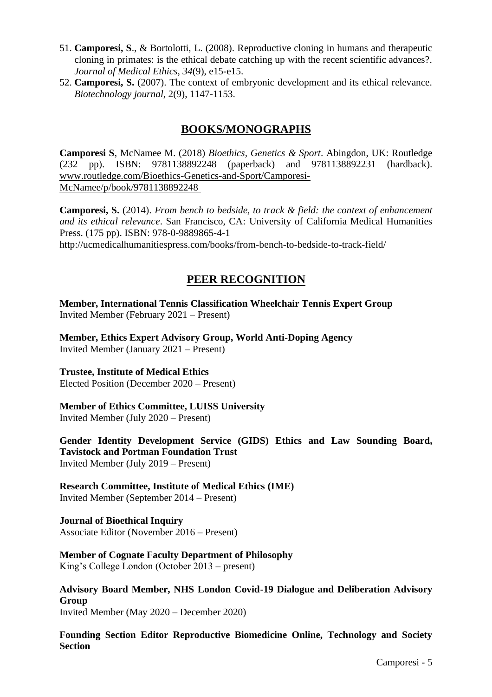- 51. **Camporesi, S**., & Bortolotti, L. (2008). Reproductive cloning in humans and therapeutic cloning in primates: is the ethical debate catching up with the recent scientific advances?. *Journal of Medical Ethics*, *34*(9), e15-e15.
- 52. **Camporesi, S.** (2007). The context of embryonic development and its ethical relevance. *Biotechnology journal*, 2(9), 1147-1153.

# **BOOKS/MONOGRAPHS**

**Camporesi S**, McNamee M. (2018) *Bioethics, Genetics & Sport*. Abingdon, UK: Routledge (232 pp). ISBN: 9781138892248 (paperback) and 9781138892231 (hardback). www.routledge.com/Bioethics-Genetics-and-Sport/Camporesi-McNamee/p/book/9781138892248

**Camporesi, S.** (2014). *From bench to bedside, to track & field: the context of enhancement and its ethical relevance*. San Francisco, CA: University of California Medical Humanities Press. (175 pp). ISBN: 978-0-9889865-4-1 http://ucmedicalhumanitiespress.com/books/from-bench-to-bedside-to-track-field/

# **PEER RECOGNITION**

**Member, International Tennis Classification Wheelchair Tennis Expert Group**  Invited Member (February 2021 – Present)

**Member, Ethics Expert Advisory Group, World Anti-Doping Agency** Invited Member (January 2021 – Present)

**Trustee, Institute of Medical Ethics** Elected Position (December 2020 – Present)

# **Member of Ethics Committee, LUISS University**

Invited Member (July 2020 – Present)

**Gender Identity Development Service (GIDS) Ethics and Law Sounding Board, Tavistock and Portman Foundation Trust**  Invited Member (July 2019 – Present)

**Research Committee, Institute of Medical Ethics (IME)** Invited Member (September 2014 – Present)

**Journal of Bioethical Inquiry** Associate Editor (November 2016 – Present)

#### **Member of Cognate Faculty Department of Philosophy**

King's College London (October 2013 – present)

**Advisory Board Member, NHS London Covid-19 Dialogue and Deliberation Advisory Group** Invited Member (May 2020 – December 2020)

**Founding Section Editor Reproductive Biomedicine Online, Technology and Society Section**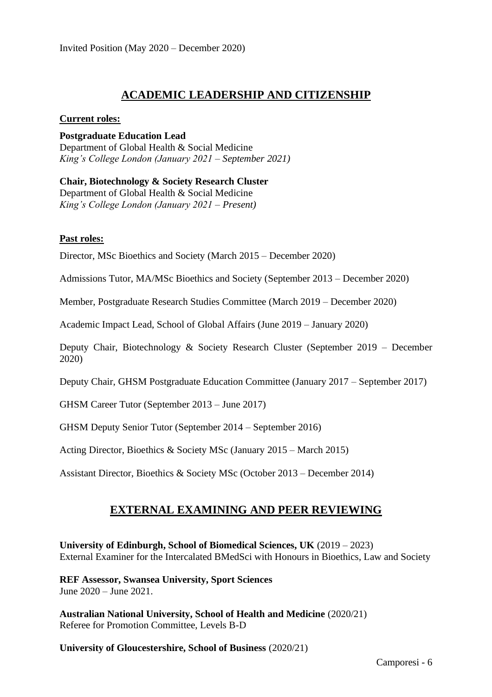# **ACADEMIC LEADERSHIP AND CITIZENSHIP**

#### **Current roles:**

**Postgraduate Education Lead** Department of Global Health & Social Medicine *King's College London (January 2021 – September 2021)* 

**Chair, Biotechnology & Society Research Cluster** Department of Global Health & Social Medicine *King's College London (January 2021 – Present)* 

#### **Past roles:**

Director, MSc Bioethics and Society (March 2015 – December 2020)

Admissions Tutor, MA/MSc Bioethics and Society (September 2013 – December 2020)

Member, Postgraduate Research Studies Committee (March 2019 – December 2020)

Academic Impact Lead, School of Global Affairs (June 2019 – January 2020)

Deputy Chair, Biotechnology & Society Research Cluster (September 2019 – December 2020)

Deputy Chair, GHSM Postgraduate Education Committee (January 2017 – September 2017)

GHSM Career Tutor (September 2013 – June 2017)

GHSM Deputy Senior Tutor (September 2014 – September 2016)

Acting Director, Bioethics & Society MSc (January 2015 – March 2015)

Assistant Director, Bioethics & Society MSc (October 2013 – December 2014)

# **EXTERNAL EXAMINING AND PEER REVIEWING**

**University of Edinburgh, School of Biomedical Sciences, UK** (2019 – 2023) External Examiner for the Intercalated BMedSci with Honours in Bioethics, Law and Society

**REF Assessor, Swansea University, Sport Sciences** June 2020 – June 2021.

**Australian National University, School of Health and Medicine** (2020/21) Referee for Promotion Committee, Levels B-D

**University of Gloucestershire, School of Business** (2020/21)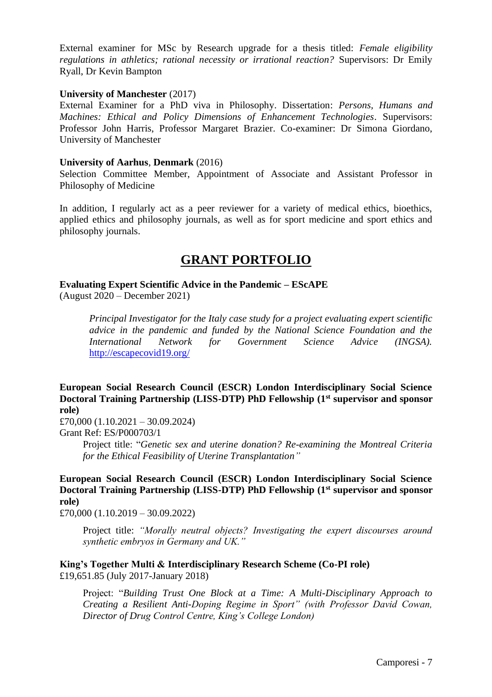External examiner for MSc by Research upgrade for a thesis titled: *Female eligibility regulations in athletics; rational necessity or irrational reaction?* Supervisors: Dr Emily Ryall, Dr Kevin Bampton

#### **University of Manchester** (2017)

External Examiner for a PhD viva in Philosophy. Dissertation: *Persons, Humans and Machines: Ethical and Policy Dimensions of Enhancement Technologies*. Supervisors: Professor John Harris, Professor Margaret Brazier. Co-examiner: Dr Simona Giordano, University of Manchester

#### **University of Aarhus**, **Denmark** (2016)

Selection Committee Member, Appointment of Associate and Assistant Professor in Philosophy of Medicine

In addition, I regularly act as a peer reviewer for a variety of medical ethics, bioethics, applied ethics and philosophy journals, as well as for sport medicine and sport ethics and philosophy journals.

# **GRANT PORTFOLIO**

#### **Evaluating Expert Scientific Advice in the Pandemic – EScAPE**

(August 2020 – December 2021)

*Principal Investigator for the Italy case study for a project evaluating expert scientific advice in the pandemic and funded by the National Science Foundation and the International Network for Government Science Advice (INGSA).*  <http://escapecovid19.org/>

#### **European Social Research Council (ESCR) London Interdisciplinary Social Science Doctoral Training Partnership (LISS-DTP) PhD Fellowship (1st supervisor and sponsor role)**

£70,000 (1.10.2021 – 30.09.2024)

Grant Ref: ES/P000703/1

Project title: "*Genetic sex and uterine donation? Re-examining the Montreal Criteria for the Ethical Feasibility of Uterine Transplantation"*

**European Social Research Council (ESCR) London Interdisciplinary Social Science Doctoral Training Partnership (LISS-DTP) PhD Fellowship (1st supervisor and sponsor role)**

£70,000 (1.10.2019 – 30.09.2022)

Project title: *"Morally neutral objects? Investigating the expert discourses around synthetic embryos in Germany and UK."*

#### **King's Together Multi & Interdisciplinary Research Scheme (Co-PI role)** £19,651.85 (July 2017-January 2018)

Project: "*Building Trust One Block at a Time: A Multi-Disciplinary Approach to Creating a Resilient Anti-Doping Regime in Sport" (with Professor David Cowan, Director of Drug Control Centre, King's College London)*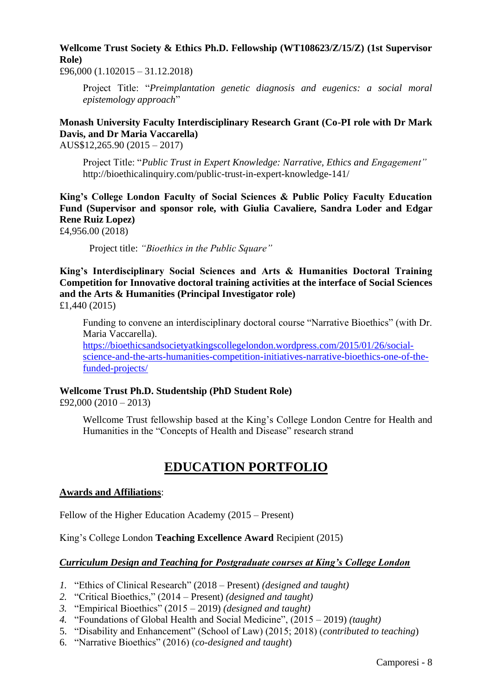# **Wellcome Trust Society & Ethics Ph.D. Fellowship (WT108623/Z/15/Z) (1st Supervisor Role)**

£96,000 (1.102015 – 31.12.2018)

Project Title: "*Preimplantation genetic diagnosis and eugenics: a social moral epistemology approach*"

# **Monash University Faculty Interdisciplinary Research Grant (Co-PI role with Dr Mark Davis, and Dr Maria Vaccarella)**

AUS\$12,265.90 (2015 – 2017)

Project Title: "*Public Trust in Expert Knowledge: Narrative, Ethics and Engagement"* http://bioethicalinquiry.com/public-trust-in-expert-knowledge-141/

**King's College London Faculty of Social Sciences & Public Policy Faculty Education Fund (Supervisor and sponsor role, with Giulia Cavaliere, Sandra Loder and Edgar Rene Ruiz Lopez)**

£4,956.00 (2018)

Project title: *"Bioethics in the Public Square"*

**King's Interdisciplinary Social Sciences and Arts & Humanities Doctoral Training Competition for Innovative doctoral training activities at the interface of Social Sciences and the Arts & Humanities (Principal Investigator role)** £1,440 (2015)

Funding to convene an interdisciplinary doctoral course "Narrative Bioethics" (with Dr. Maria Vaccarella). [https://bioethicsandsocietyatkingscollegelondon.wordpress.com/2015/01/26/social](https://bioethicsandsocietyatkingscollegelondon.wordpress.com/2015/01/26/social-science-and-the-arts-humanities-competition-initiatives-narrative-bioethics-one-of-the-funded-projects/)[science-and-the-arts-humanities-competition-initiatives-narrative-bioethics-one-of-the](https://bioethicsandsocietyatkingscollegelondon.wordpress.com/2015/01/26/social-science-and-the-arts-humanities-competition-initiatives-narrative-bioethics-one-of-the-funded-projects/)[funded-projects/](https://bioethicsandsocietyatkingscollegelondon.wordpress.com/2015/01/26/social-science-and-the-arts-humanities-competition-initiatives-narrative-bioethics-one-of-the-funded-projects/)

#### **Wellcome Trust Ph.D. Studentship (PhD Student Role)**

£92,000 (2010 – 2013)

Wellcome Trust fellowship based at the King's College London Centre for Health and Humanities in the "Concepts of Health and Disease" research strand

# **EDUCATION PORTFOLIO**

#### **Awards and Affiliations**:

Fellow of the Higher Education Academy (2015 – Present)

King's College London **Teaching Excellence Award** Recipient (2015)

# *Curriculum Design and Teaching for Postgraduate courses at King's College London*

- *1.* "Ethics of Clinical Research" (2018 Present) *(designed and taught)*
- *2.* "Critical Bioethics," (2014 Present) *(designed and taught)*
- *3.* "Empirical Bioethics" (2015 2019) *(designed and taught)*
- *4.* "Foundations of Global Health and Social Medicine", (2015 2019) *(taught)*
- 5. "Disability and Enhancement" (School of Law) (2015; 2018) (*contributed to teaching*)
- 6. "Narrative Bioethics" (2016) (*co-designed and taught*)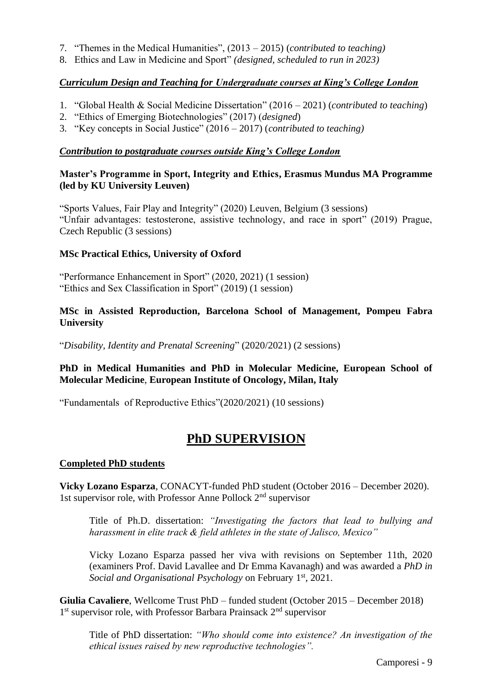- 7. "Themes in the Medical Humanities", (2013 2015) (*contributed to teaching)*
- 8. Ethics and Law in Medicine and Sport" *(designed, scheduled to run in 2023)*

## *Curriculum Design and Teaching for Undergraduate courses at King's College London*

- 1. "Global Health & Social Medicine Dissertation" (2016 2021) (*contributed to teaching*)
- 2. "Ethics of Emerging Biotechnologies" (2017) (*designed*)
- 3. "Key concepts in Social Justice" (2016 2017) (*contributed to teaching)*

#### *Contribution to postgraduate courses outside King's College London*

### **Master's Programme in Sport, Integrity and Ethics, Erasmus Mundus MA Programme (led by KU University Leuven)**

"Sports Values, Fair Play and Integrity" (2020) Leuven, Belgium (3 sessions) "Unfair advantages: testosterone, assistive technology, and race in sport" (2019) Prague, Czech Republic (3 sessions)

### **MSc Practical Ethics, University of Oxford**

"Performance Enhancement in Sport" (2020, 2021) (1 session) "Ethics and Sex Classification in Sport" (2019) (1 session)

#### **MSc in Assisted Reproduction, Barcelona School of Management, Pompeu Fabra University**

"*Disability, Identity and Prenatal Screening*" (2020/2021) (2 sessions)

### **PhD in Medical Humanities and PhD in Molecular Medicine, European School of Molecular Medicine**, **European Institute of Oncology, Milan, Italy**

"Fundamentals of Reproductive Ethics"(2020/2021) (10 sessions)

# **PhD SUPERVISION**

#### **Completed PhD students**

**Vicky Lozano Esparza**, CONACYT-funded PhD student (October 2016 – December 2020). 1st supervisor role, with Professor Anne Pollock 2nd supervisor

Title of Ph.D. dissertation: *"Investigating the factors that lead to bullying and harassment in elite track & field athletes in the state of Jalisco, Mexico"* 

Vicky Lozano Esparza passed her viva with revisions on September 11th, 2020 (examiners Prof. David Lavallee and Dr Emma Kavanagh) and was awarded a *PhD in Social and Organisational Psychology* on February 1st, 2021.

**Giulia Cavaliere**, Wellcome Trust PhD – funded student (October 2015 – December 2018) 1<sup>st</sup> supervisor role, with Professor Barbara Prainsack 2<sup>nd</sup> supervisor

Title of PhD dissertation: *"Who should come into existence? An investigation of the ethical issues raised by new reproductive technologies".*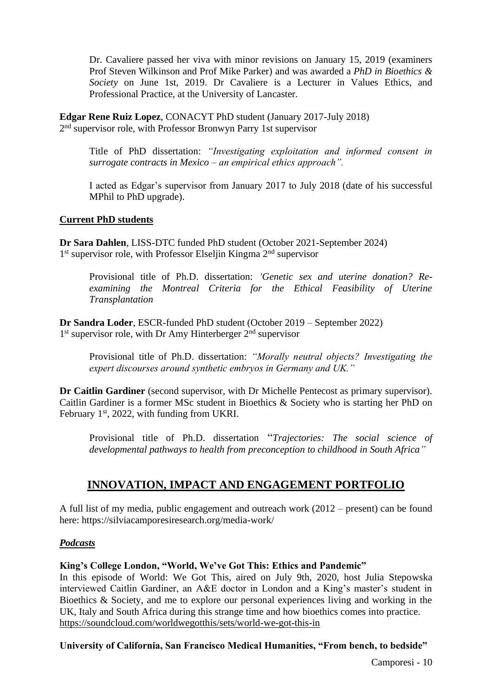Dr. Cavaliere passed her viva with minor revisions on January 15, 2019 (examiners Prof Steven Wilkinson and Prof Mike Parker) and was awarded a *PhD in Bioethics & Society* on June 1st, 2019. Dr Cavaliere is a Lecturer in Values Ethics, and Professional Practice, at the University of Lancaster.

**Edgar Rene Ruiz Lopez**, CONACYT PhD student (January 2017-July 2018) 2<sup>nd</sup> supervisor role, with Professor Bronwyn Parry 1st supervisor

Title of PhD dissertation: *"Investigating exploitation and informed consent in surrogate contracts in Mexico – an empirical ethics approach".*

I acted as Edgar's supervisor from January 2017 to July 2018 (date of his successful MPhil to PhD upgrade).

#### **Current PhD students**

**Dr Sara Dahlen**, LISS-DTC funded PhD student (October 2021-September 2024) 1<sup>st</sup> supervisor role, with Professor Elseljin Kingma 2<sup>nd</sup> supervisor

Provisional title of Ph.D. dissertation: *'Genetic sex and uterine donation? Reexamining the Montreal Criteria for the Ethical Feasibility of Uterine Transplantation*

**Dr Sandra Loder**, ESCR-funded PhD student (October 2019 – September 2022) 1<sup>st</sup> supervisor role, with Dr Amy Hinterberger 2<sup>nd</sup> supervisor

Provisional title of Ph.D. dissertation: *"Morally neutral objects? Investigating the expert discourses around synthetic embryos in Germany and UK."*

**Dr Caitlin Gardiner** (second supervisor, with Dr Michelle Pentecost as primary supervisor). Caitlin Gardiner is a former MSc student in Bioethics & Society who is starting her PhD on February 1<sup>st</sup>, 2022, with funding from UKRI.

Provisional title of Ph.D. dissertation "*Trajectories: The social science of developmental pathways to health from preconception to childhood in South Africa"*

# **INNOVATION, IMPACT AND ENGAGEMENT PORTFOLIO**

A full list of my media, public engagement and outreach work (2012 – present) can be found here: https://silviacamporesiresearch.org/media-work/

#### *Podcasts*

#### **King's College London, "World, We've Got This: Ethics and Pandemic"**

In this episode of World: We Got This, aired on July 9th, 2020, host Julia Stepowska interviewed Caitlin Gardiner, an A&E doctor in London and a King's master's student in Bioethics & Society, and me to explore our personal experiences living and working in the UK, Italy and South Africa during this strange time and how bioethics comes into practice. <https://soundcloud.com/worldwegotthis/sets/world-we-got-this-in>

#### **University of California, San Francisco Medical Humanities, "From bench, to bedside"**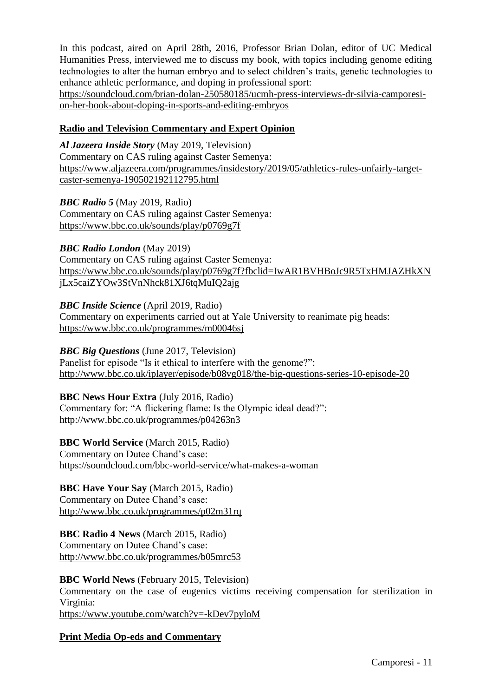In this podcast, aired on April 28th, 2016, Professor Brian Dolan, editor of UC Medical Humanities Press, interviewed me to discuss my book, with topics including genome editing technologies to alter the human embryo and to select children's traits, genetic technologies to enhance athletic performance, and doping in professional sport:

[https://soundcloud.com/brian-dolan-250580185/ucmh-press-interviews-dr-silvia-camporesi](https://soundcloud.com/brian-dolan-250580185/ucmh-press-interviews-dr-silvia-camporesi-on-her-book-about-doping-in-sports-and-editing-embryos)[on-her-book-about-doping-in-sports-and-editing-embryos](https://soundcloud.com/brian-dolan-250580185/ucmh-press-interviews-dr-silvia-camporesi-on-her-book-about-doping-in-sports-and-editing-embryos)

### **Radio and Television Commentary and Expert Opinion**

*Al Jazeera Inside Story* (May 2019, Television) Commentary on CAS ruling against Caster Semenya: [https://www.aljazeera.com/programmes/insidestory/2019/05/athletics-rules-unfairly-target](https://www.aljazeera.com/programmes/insidestory/2019/05/athletics-rules-unfairly-target-caster-semenya-190502192112795.html)[caster-semenya-190502192112795.html](https://www.aljazeera.com/programmes/insidestory/2019/05/athletics-rules-unfairly-target-caster-semenya-190502192112795.html)

*BBC Radio 5* (May 2019, Radio) Commentary on CAS ruling against Caster Semenya: <https://www.bbc.co.uk/sounds/play/p0769g7f>

*BBC Radio London* (May 2019)

Commentary on CAS ruling against Caster Semenya: [https://www.bbc.co.uk/sounds/play/p0769g7f?fbclid=IwAR1BVHBoJc9R5TxHMJAZHkXN](https://www.bbc.co.uk/sounds/play/p0769g7f?fbclid=IwAR1BVHBoJc9R5TxHMJAZHkXNjLx5caiZYOw3StVnNhck81XJ6tqMuIQ2ajg) [jLx5caiZYOw3StVnNhck81XJ6tqMuIQ2ajg](https://www.bbc.co.uk/sounds/play/p0769g7f?fbclid=IwAR1BVHBoJc9R5TxHMJAZHkXNjLx5caiZYOw3StVnNhck81XJ6tqMuIQ2ajg)

### *BBC Inside Science* (April 2019, Radio)

Commentary on experiments carried out at Yale University to reanimate pig heads: <https://www.bbc.co.uk/programmes/m00046sj>

#### *BBC Big Questions* (June 2017, Television)

Panelist for episode "Is it ethical to interfere with the genome?": <http://www.bbc.co.uk/iplayer/episode/b08vg018/the-big-questions-series-10-episode-20>

# **BBC News Hour Extra** (July 2016, Radio)

Commentary for: "A flickering flame: Is the Olympic ideal dead?": <http://www.bbc.co.uk/programmes/p04263n3>

# **BBC World Service** (March 2015, Radio)

Commentary on Dutee Chand's case: <https://soundcloud.com/bbc-world-service/what-makes-a-woman>

# **BBC Have Your Say** (March 2015, Radio)

Commentary on Dutee Chand's case: <http://www.bbc.co.uk/programmes/p02m31rq>

# **BBC Radio 4 News** (March 2015, Radio)

Commentary on Dutee Chand's case: <http://www.bbc.co.uk/programmes/b05mrc53>

# **BBC World News** (February 2015, Television)

Commentary on the case of eugenics victims receiving compensation for sterilization in Virginia:

<https://www.youtube.com/watch?v=-kDev7pyloM>

# **Print Media Op-eds and Commentary**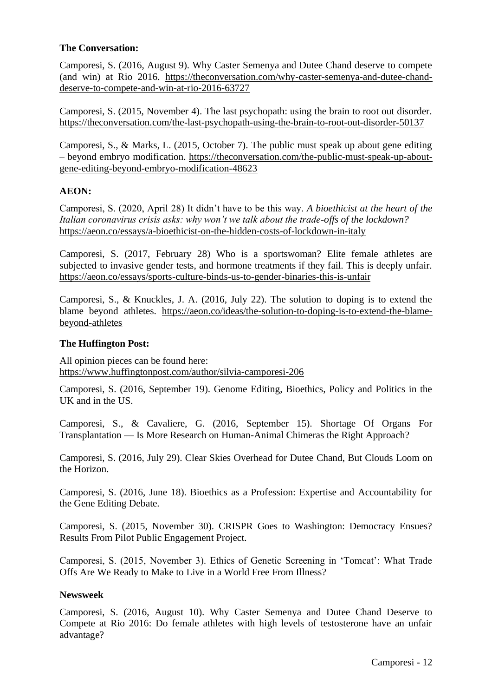# **The Conversation:**

Camporesi, S. (2016, August 9). Why Caster Semenya and Dutee Chand deserve to compete (and win) at Rio 2016. [https://theconversation.com/why-caster-semenya-and-dutee-chand](https://theconversation.com/why-caster-semenya-and-dutee-chand-deserve-to-compete-and-win-at-rio-2016-63727)[deserve-to-compete-and-win-at-rio-2016-63727](https://theconversation.com/why-caster-semenya-and-dutee-chand-deserve-to-compete-and-win-at-rio-2016-63727)

Camporesi, S. (2015, November 4). The last psychopath: using the brain to root out disorder. <https://theconversation.com/the-last-psychopath-using-the-brain-to-root-out-disorder-50137>

Camporesi, S., & Marks, L. (2015, October 7). The public must speak up about gene editing – beyond embryo modification. [https://theconversation.com/the-public-must-speak-up-about](https://theconversation.com/the-public-must-speak-up-about-gene-editing-beyond-embryo-modification-48623)[gene-editing-beyond-embryo-modification-48623](https://theconversation.com/the-public-must-speak-up-about-gene-editing-beyond-embryo-modification-48623)

### **AEON:**

Camporesi, S. (2020, April 28) It didn't have to be this way. *A bioethicist at the heart of the Italian coronavirus crisis asks: why won't we talk about the trade-offs of the lockdown?* <https://aeon.co/essays/a-bioethicist-on-the-hidden-costs-of-lockdown-in-italy>

Camporesi, S. (2017, February 28) Who is a sportswoman? Elite female athletes are subjected to invasive gender tests, and hormone treatments if they fail. This is deeply unfair. <https://aeon.co/essays/sports-culture-binds-us-to-gender-binaries-this-is-unfair>

Camporesi, S., & Knuckles, J. A. (2016, July 22). The solution to doping is to extend the blame beyond athletes. [https://aeon.co/ideas/the-solution-to-doping-is-to-extend-the-blame](https://aeon.co/ideas/the-solution-to-doping-is-to-extend-the-blame-beyond-athletes)[beyond-athletes](https://aeon.co/ideas/the-solution-to-doping-is-to-extend-the-blame-beyond-athletes)

#### **The Huffington Post:**

All opinion pieces can be found here: <https://www.huffingtonpost.com/author/silvia-camporesi-206>

Camporesi, S. (2016, September 19). Genome Editing, Bioethics, Policy and Politics in the UK and in the US.

Camporesi, S., & Cavaliere, G. (2016, September 15). Shortage Of Organs For Transplantation — Is More Research on Human-Animal Chimeras the Right Approach?

Camporesi, S. (2016, July 29). Clear Skies Overhead for Dutee Chand, But Clouds Loom on the Horizon.

Camporesi, S. (2016, June 18). Bioethics as a Profession: Expertise and Accountability for the Gene Editing Debate.

Camporesi, S. (2015, November 30). CRISPR Goes to Washington: Democracy Ensues? Results From Pilot Public Engagement Project.

Camporesi, S. (2015, November 3). Ethics of Genetic Screening in 'Tomcat': What Trade Offs Are We Ready to Make to Live in a World Free From Illness?

#### **Newsweek**

Camporesi, S. (2016, August 10). Why Caster Semenya and Dutee Chand Deserve to Compete at Rio 2016: Do female athletes with high levels of testosterone have an unfair advantage?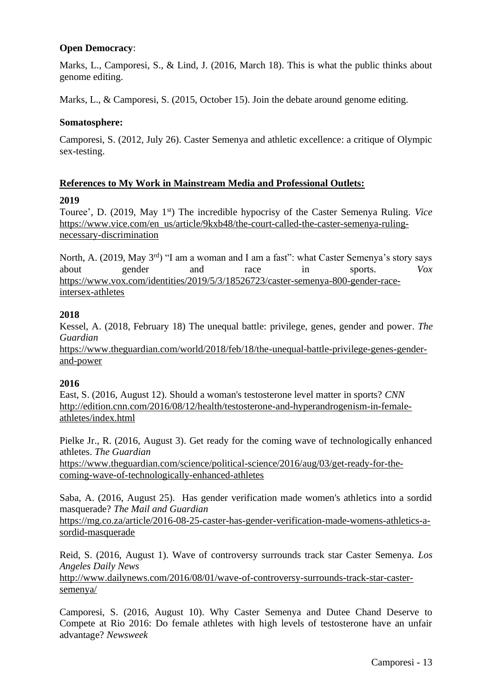# **Open Democracy**:

Marks, L., Camporesi, S., & Lind, J. (2016, March 18). This is what the public thinks about genome editing.

Marks, L., & Camporesi, S. (2015, October 15). Join the debate around genome editing.

# **Somatosphere:**

Camporesi, S. (2012, July 26). Caster Semenya and athletic excellence: a critique of Olympic sex-testing.

# **References to My Work in Mainstream Media and Professional Outlets:**

# **2019**

Touree', D. (2019, May 1<sup>st</sup>) The incredible hypocrisy of the Caster Semenya Ruling. *Vice* [https://www.vice.com/en\\_us/article/9kxb48/the-court-called-the-caster-semenya-ruling](https://www.vice.com/en_us/article/9kxb48/the-court-called-the-caster-semenya-ruling-necessary-discrimination)[necessary-discrimination](https://www.vice.com/en_us/article/9kxb48/the-court-called-the-caster-semenya-ruling-necessary-discrimination)

North, A. (2019, May 3<sup>rd</sup>) "I am a woman and I am a fast": what Caster Semenya's story says about gender and race in sports. *Vox*  [https://www.vox.com/identities/2019/5/3/18526723/caster-semenya-800-gender-race](https://www.vox.com/identities/2019/5/3/18526723/caster-semenya-800-gender-race-intersex-athletes)[intersex-athletes](https://www.vox.com/identities/2019/5/3/18526723/caster-semenya-800-gender-race-intersex-athletes)

# **2018**

Kessel, A. (2018, February 18) The unequal battle: privilege, genes, gender and power. *The Guardian*

[https://www.theguardian.com/world/2018/feb/18/the-unequal-battle-privilege-genes-gender](https://www.theguardian.com/world/2018/feb/18/the-unequal-battle-privilege-genes-gender-and-power)[and-power](https://www.theguardian.com/world/2018/feb/18/the-unequal-battle-privilege-genes-gender-and-power)

# **2016**

East, S. (2016, August 12). Should a woman's testosterone level matter in sports? *CNN* [http://edition.cnn.com/2016/08/12/health/testosterone-and-hyperandrogenism-in-female](http://edition.cnn.com/2016/08/12/health/testosterone-and-hyperandrogenism-in-female-athletes/index.html)[athletes/index.html](http://edition.cnn.com/2016/08/12/health/testosterone-and-hyperandrogenism-in-female-athletes/index.html)

Pielke Jr., R. (2016, August 3). Get ready for the coming wave of technologically enhanced athletes. *The Guardian*

[https://www.theguardian.com/science/political-science/2016/aug/03/get-ready-for-the](https://www.theguardian.com/science/political-science/2016/aug/03/get-ready-for-the-coming-wave-of-technologically-enhanced-athletes)[coming-wave-of-technologically-enhanced-athletes](https://www.theguardian.com/science/political-science/2016/aug/03/get-ready-for-the-coming-wave-of-technologically-enhanced-athletes)

Saba, A. (2016, August 25). Has gender verification made women's athletics into a sordid masquerade? *The Mail and Guardian*

[https://mg.co.za/article/2016-08-25-caster-has-gender-verification-made-womens-athletics-a](https://mg.co.za/article/2016-08-25-caster-has-gender-verification-made-womens-athletics-a-sordid-masquerade)[sordid-masquerade](https://mg.co.za/article/2016-08-25-caster-has-gender-verification-made-womens-athletics-a-sordid-masquerade)

Reid, S. (2016, August 1). Wave of controversy surrounds track star Caster Semenya. *Los Angeles Daily News*

[http://www.dailynews.com/2016/08/01/wave-of-controversy-surrounds-track-star-caster](http://www.dailynews.com/2016/08/01/wave-of-controversy-surrounds-track-star-caster-semenya/)[semenya/](http://www.dailynews.com/2016/08/01/wave-of-controversy-surrounds-track-star-caster-semenya/)

Camporesi, S. (2016, August 10). Why Caster Semenya and Dutee Chand Deserve to Compete at Rio 2016: Do female athletes with high levels of testosterone have an unfair advantage? *Newsweek*